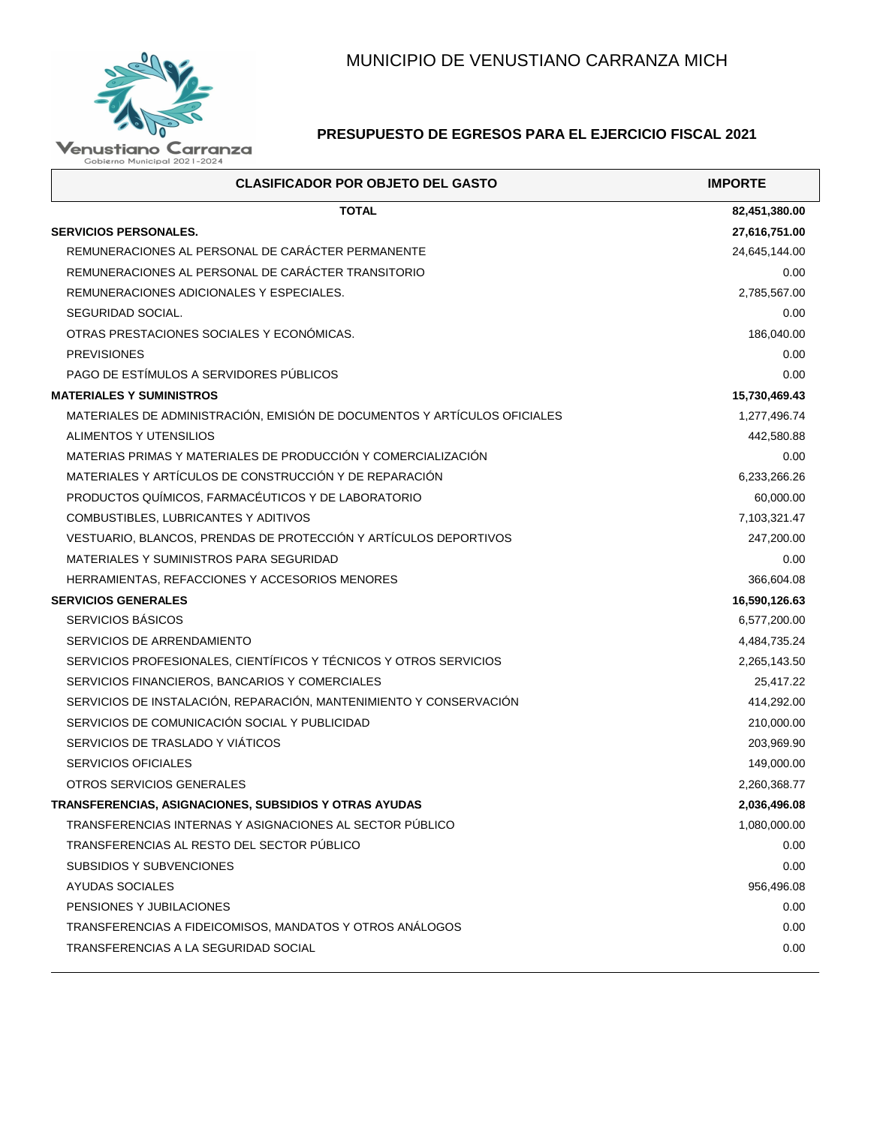

## **PRESUPUESTO DE EGRESOS PARA EL EJERCICIO FISCAL 2021**

| <b>CLASIFICADOR POR OBJETO DEL GASTO</b>                                  | <b>IMPORTE</b> |
|---------------------------------------------------------------------------|----------------|
| <b>TOTAL</b>                                                              | 82,451,380.00  |
| <b>SERVICIOS PERSONALES.</b>                                              | 27,616,751.00  |
| REMUNERACIONES AL PERSONAL DE CARACTER PERMANENTE                         | 24,645,144.00  |
| REMUNERACIONES AL PERSONAL DE CARACTER TRANSITORIO                        | 0.00           |
| REMUNERACIONES ADICIONALES Y ESPECIALES.                                  | 2,785,567.00   |
| SEGURIDAD SOCIAL.                                                         | 0.00           |
| OTRAS PRESTACIONES SOCIALES Y ECONÓMICAS.                                 | 186,040.00     |
| <b>PREVISIONES</b>                                                        | 0.00           |
| PAGO DE ESTÍMULOS A SERVIDORES PÚBLICOS                                   | 0.00           |
| <b>MATERIALES Y SUMINISTROS</b>                                           | 15,730,469.43  |
| MATERIALES DE ADMINISTRACIÓN, EMISIÓN DE DOCUMENTOS Y ARTÍCULOS OFICIALES | 1,277,496.74   |
| ALIMENTOS Y UTENSILIOS                                                    | 442,580.88     |
| MATERIAS PRIMAS Y MATERIALES DE PRODUCCIÓN Y COMERCIALIZACIÓN             | 0.00           |
| MATERIALES Y ARTÍCULOS DE CONSTRUCCIÓN Y DE REPARACIÓN                    | 6,233,266.26   |
| PRODUCTOS QUÍMICOS, FARMACÉUTICOS Y DE LABORATORIO                        | 60,000.00      |
| COMBUSTIBLES, LUBRICANTES Y ADITIVOS                                      | 7,103,321.47   |
| VESTUARIO, BLANCOS, PRENDAS DE PROTECCIÓN Y ARTÍCULOS DEPORTIVOS          | 247,200.00     |
| MATERIALES Y SUMINISTROS PARA SEGURIDAD                                   | 0.00           |
| HERRAMIENTAS, REFACCIONES Y ACCESORIOS MENORES                            | 366,604.08     |
| <b>SERVICIOS GENERALES</b>                                                | 16,590,126.63  |
| <b>SERVICIOS BASICOS</b>                                                  | 6,577,200.00   |
| SERVICIOS DE ARRENDAMIENTO                                                | 4,484,735.24   |
| SERVICIOS PROFESIONALES, CIENTÍFICOS Y TÉCNICOS Y OTROS SERVICIOS         | 2,265,143.50   |
| SERVICIOS FINANCIEROS, BANCARIOS Y COMERCIALES                            | 25,417.22      |
| SERVICIOS DE INSTALACIÓN, REPARACIÓN, MANTENIMIENTO Y CONSERVACIÓN        | 414,292.00     |
| SERVICIOS DE COMUNICACIÓN SOCIAL Y PUBLICIDAD                             | 210,000.00     |
| SERVICIOS DE TRASLADO Y VIÁTICOS                                          | 203,969.90     |
| <b>SERVICIOS OFICIALES</b>                                                | 149,000.00     |
| OTROS SERVICIOS GENERALES                                                 | 2,260,368.77   |
| TRANSFERENCIAS, ASIGNACIONES, SUBSIDIOS Y OTRAS AYUDAS                    | 2,036,496.08   |
| TRANSFERENCIAS INTERNAS Y ASIGNACIONES AL SECTOR PUBLICO                  | 1,080,000.00   |
| TRANSFERENCIAS AL RESTO DEL SECTOR PÚBLICO                                | 0.00           |
| SUBSIDIOS Y SUBVENCIONES                                                  | 0.00           |
| AYUDAS SOCIALES                                                           | 956,496.08     |
| PENSIONES Y JUBILACIONES                                                  | 0.00           |
| TRANSFERENCIAS A FIDEICOMISOS, MANDATOS Y OTROS ANÁLOGOS                  | 0.00           |
| TRANSFERENCIAS A LA SEGURIDAD SOCIAL                                      | 0.00           |